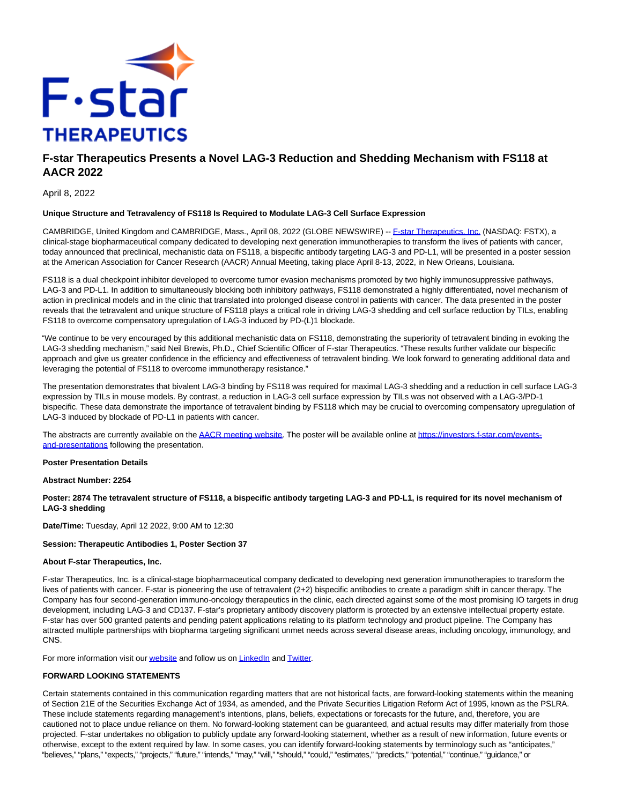

# **F-star Therapeutics Presents a Novel LAG-3 Reduction and Shedding Mechanism with FS118 at AACR 2022**

April 8, 2022

## **Unique Structure and Tetravalency of FS118 Is Required to Modulate LAG-3 Cell Surface Expression**

CAMBRIDGE, United Kingdom and CAMBRIDGE, Mass., April 08, 2022 (GLOBE NEWSWIRE) -[- F-star Therapeutics, Inc. \(](https://www.globenewswire.com/Tracker?data=JfNdqFBHBPn49i1J04nQ8a4FVCUu_bvjqaMWLy-7Ha7lgU8EkJPUdh9d4FxNgdyVgmqP7TxFlPxpZFZqkfEZuKOuiIf7qaWpyvcqJui2zTs=)NASDAQ: FSTX), a clinical-stage biopharmaceutical company dedicated to developing next generation immunotherapies to transform the lives of patients with cancer, today announced that preclinical, mechanistic data on FS118, a bispecific antibody targeting LAG-3 and PD-L1, will be presented in a poster session at the American Association for Cancer Research (AACR) Annual Meeting, taking place April 8-13, 2022, in New Orleans, Louisiana.

FS118 is a dual checkpoint inhibitor developed to overcome tumor evasion mechanisms promoted by two highly immunosuppressive pathways, LAG-3 and PD-L1. In addition to simultaneously blocking both inhibitory pathways, FS118 demonstrated a highly differentiated, novel mechanism of action in preclinical models and in the clinic that translated into prolonged disease control in patients with cancer. The data presented in the poster reveals that the tetravalent and unique structure of FS118 plays a critical role in driving LAG-3 shedding and cell surface reduction by TILs, enabling FS118 to overcome compensatory upregulation of LAG-3 induced by PD-(L)1 blockade.

"We continue to be very encouraged by this additional mechanistic data on FS118, demonstrating the superiority of tetravalent binding in evoking the LAG-3 shedding mechanism," said Neil Brewis, Ph.D., Chief Scientific Officer of F-star Therapeutics. "These results further validate our bispecific approach and give us greater confidence in the efficiency and effectiveness of tetravalent binding. We look forward to generating additional data and leveraging the potential of FS118 to overcome immunotherapy resistance."

The presentation demonstrates that bivalent LAG-3 binding by FS118 was required for maximal LAG-3 shedding and a reduction in cell surface LAG-3 expression by TILs in mouse models. By contrast, a reduction in LAG-3 cell surface expression by TILs was not observed with a LAG-3/PD-1 bispecific. These data demonstrate the importance of tetravalent binding by FS118 which may be crucial to overcoming compensatory upregulation of LAG-3 induced by blockade of PD-L1 in patients with cancer.

The abstracts are currently available on th[e AACR meeting website.](https://www.globenewswire.com/Tracker?data=t4NuksieoKFbyckoK7qT6kLPmPbvoytrtR0yI3k4O4Iuo1-swJjOlnDfMPkzQ2LnD-Hugj0qXp8B2gQ8twOVFPnWCjxIRsGeUvvxESKIcu3DMN9QK1G9Hd6J81Oc-fLR7FWyqlTOi55vJ3l8h4pGXw==) The poster will be available online at [https://investors.f-star.com/events](https://investors.f-star.com/events-and-presentations)and-presentations following the presentation.

## **Poster Presentation Details**

**Abstract Number: 2254**

**Poster: 2874 The tetravalent structure of FS118, a bispecific antibody targeting LAG-3 and PD-L1, is required for its novel mechanism of LAG-3 shedding**

**Date/Time:** Tuesday, April 12 2022, 9:00 AM to 12:30

#### **Session: Therapeutic Antibodies 1, Poster Section 37**

#### **About F-star Therapeutics, Inc.**

F-star Therapeutics, Inc. is a clinical-stage biopharmaceutical company dedicated to developing next generation immunotherapies to transform the lives of patients with cancer. F-star is pioneering the use of tetravalent (2+2) bispecific antibodies to create a paradigm shift in cancer therapy. The Company has four second-generation immuno-oncology therapeutics in the clinic, each directed against some of the most promising IO targets in drug development, including LAG-3 and CD137. F-star's proprietary antibody discovery platform is protected by an extensive intellectual property estate. F-star has over 500 granted patents and pending patent applications relating to its platform technology and product pipeline. The Company has attracted multiple partnerships with biopharma targeting significant unmet needs across several disease areas, including oncology, immunology, and CNS.

For more information visit ou[r website a](https://www.globenewswire.com/Tracker?data=K17dXQMYrbVxuSB8QeTLmmI4PGXI9xSIKKY-iTvbF89O7ygsNTDRUOiYijZG9ouDLk0n72cxj_Dz0BlwNWtQSg==)nd follow us o[n LinkedIn a](https://www.globenewswire.com/Tracker?data=tKpQ9WOS8NuajETzOjH2chwdQbae2dN2ahX26g-D49aJhLqfxi7ctKJDuUf2jPyxAbkQ5efu4vgvJvjJzFv1fC0m45Xz2CecdFKLyxLssZo=)n[d Twitter.](https://www.globenewswire.com/Tracker?data=NYgihQGJpM-Y_LNXUXDlAcQBhMz8IkQRQdUyKWhdo4I86pkI6i1aVcrXQIGHkOdHjDCWoU4lvjdHPm_IZF6-Ow==)

# **FORWARD LOOKING STATEMENTS**

Certain statements contained in this communication regarding matters that are not historical facts, are forward-looking statements within the meaning of Section 21E of the Securities Exchange Act of 1934, as amended, and the Private Securities Litigation Reform Act of 1995, known as the PSLRA. These include statements regarding management's intentions, plans, beliefs, expectations or forecasts for the future, and, therefore, you are cautioned not to place undue reliance on them. No forward-looking statement can be guaranteed, and actual results may differ materially from those projected. F-star undertakes no obligation to publicly update any forward-looking statement, whether as a result of new information, future events or otherwise, except to the extent required by law. In some cases, you can identify forward-looking statements by terminology such as "anticipates," "believes," "plans," "expects," "projects," "future," "intends," "may," "will," "should," "could," "estimates," "predicts," "potential," "continue," "guidance," or